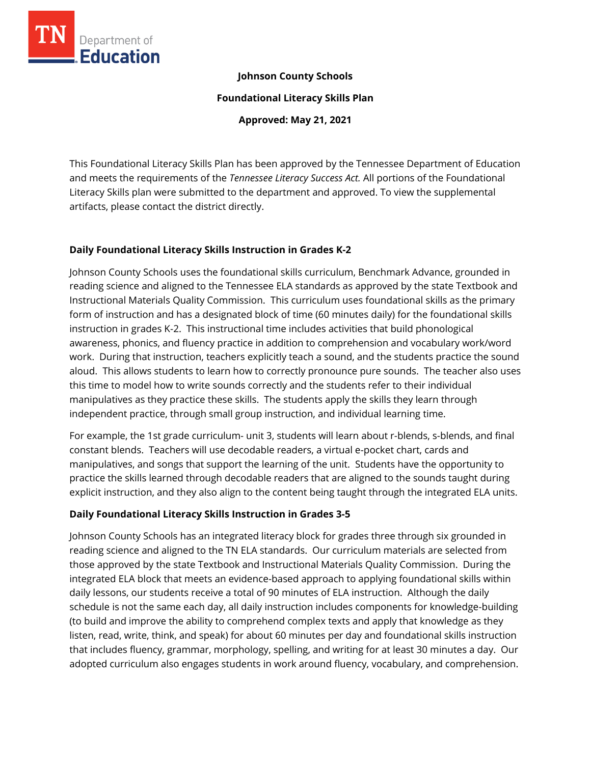

### **Johnson County Schools**

**Foundational Literacy Skills Plan**

**Approved: May 21, 2021**

This Foundational Literacy Skills Plan has been approved by the Tennessee Department of Education and meets the requirements of the *Tennessee Literacy Success Act.* All portions of the Foundational Literacy Skills plan were submitted to the department and approved. To view the supplemental artifacts, please contact the district directly.

## **Daily Foundational Literacy Skills Instruction in Grades K-2**

Johnson County Schools uses the foundational skills curriculum, Benchmark Advance, grounded in reading science and aligned to the Tennessee ELA standards as approved by the state Textbook and Instructional Materials Quality Commission. This curriculum uses foundational skills as the primary form of instruction and has a designated block of time (60 minutes daily) for the foundational skills instruction in grades K-2. This instructional time includes activities that build phonological awareness, phonics, and fluency practice in addition to comprehension and vocabulary work/word work. During that instruction, teachers explicitly teach a sound, and the students practice the sound aloud. This allows students to learn how to correctly pronounce pure sounds. The teacher also uses this time to model how to write sounds correctly and the students refer to their individual manipulatives as they practice these skills. The students apply the skills they learn through independent practice, through small group instruction, and individual learning time.

For example, the 1st grade curriculum- unit 3, students will learn about r-blends, s-blends, and final constant blends. Teachers will use decodable readers, a virtual e-pocket chart, cards and manipulatives, and songs that support the learning of the unit. Students have the opportunity to practice the skills learned through decodable readers that are aligned to the sounds taught during explicit instruction, and they also align to the content being taught through the integrated ELA units.

# **Daily Foundational Literacy Skills Instruction in Grades 3-5**

Johnson County Schools has an integrated literacy block for grades three through six grounded in reading science and aligned to the TN ELA standards. Our curriculum materials are selected from those approved by the state Textbook and Instructional Materials Quality Commission. During the integrated ELA block that meets an evidence-based approach to applying foundational skills within daily lessons, our students receive a total of 90 minutes of ELA instruction. Although the daily schedule is not the same each day, all daily instruction includes components for knowledge-building (to build and improve the ability to comprehend complex texts and apply that knowledge as they listen, read, write, think, and speak) for about 60 minutes per day and foundational skills instruction that includes fluency, grammar, morphology, spelling, and writing for at least 30 minutes a day. Our adopted curriculum also engages students in work around fluency, vocabulary, and comprehension.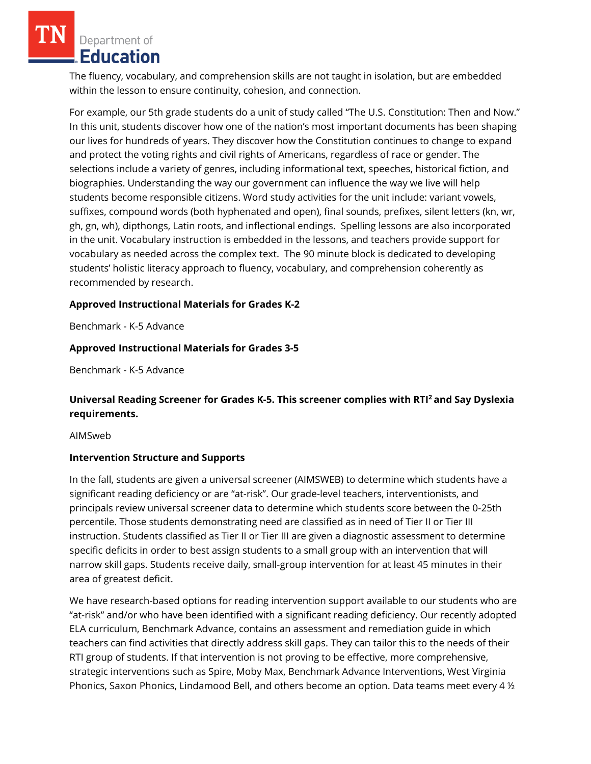Department of Education

The fluency, vocabulary, and comprehension skills are not taught in isolation, but are embedded within the lesson to ensure continuity, cohesion, and connection.

For example, our 5th grade students do a unit of study called "The U.S. Constitution: Then and Now." In this unit, students discover how one of the nation's most important documents has been shaping our lives for hundreds of years. They discover how the Constitution continues to change to expand and protect the voting rights and civil rights of Americans, regardless of race or gender. The selections include a variety of genres, including informational text, speeches, historical fiction, and biographies. Understanding the way our government can influence the way we live will help students become responsible citizens. Word study activities for the unit include: variant vowels, suffixes, compound words (both hyphenated and open), final sounds, prefixes, silent letters (kn, wr, gh, gn, wh), dipthongs, Latin roots, and inflectional endings. Spelling lessons are also incorporated in the unit. Vocabulary instruction is embedded in the lessons, and teachers provide support for vocabulary as needed across the complex text. The 90 minute block is dedicated to developing students' holistic literacy approach to fluency, vocabulary, and comprehension coherently as recommended by research.

### **Approved Instructional Materials for Grades K-2**

Benchmark - K-5 Advance

## **Approved Instructional Materials for Grades 3-5**

Benchmark - K-5 Advance

# **Universal Reading Screener for Grades K-5. This screener complies with RTI<sup>2</sup>and Say Dyslexia requirements.**

AIMSweb

### **Intervention Structure and Supports**

In the fall, students are given a universal screener (AIMSWEB) to determine which students have a significant reading deficiency or are "at-risk". Our grade-level teachers, interventionists, and principals review universal screener data to determine which students score between the 0-25th percentile. Those students demonstrating need are classified as in need of Tier II or Tier III instruction. Students classified as Tier II or Tier III are given a diagnostic assessment to determine specific deficits in order to best assign students to a small group with an intervention that will narrow skill gaps. Students receive daily, small-group intervention for at least 45 minutes in their area of greatest deficit.

We have research-based options for reading intervention support available to our students who are "at-risk" and/or who have been identified with a significant reading deficiency. Our recently adopted ELA curriculum, Benchmark Advance, contains an assessment and remediation guide in which teachers can find activities that directly address skill gaps. They can tailor this to the needs of their RTI group of students. If that intervention is not proving to be effective, more comprehensive, strategic interventions such as Spire, Moby Max, Benchmark Advance Interventions, West Virginia Phonics, Saxon Phonics, Lindamood Bell, and others become an option. Data teams meet every 4 ½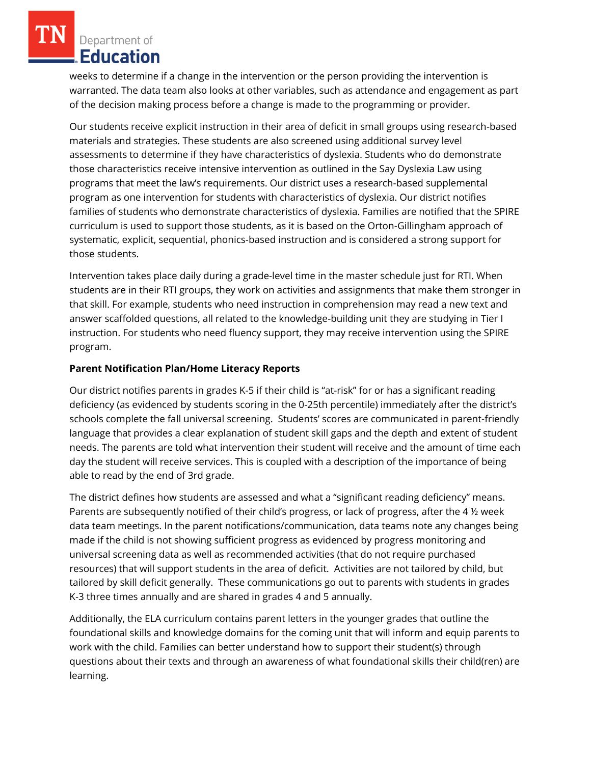Department of **Education** 

weeks to determine if a change in the intervention or the person providing the intervention is warranted. The data team also looks at other variables, such as attendance and engagement as part of the decision making process before a change is made to the programming or provider.

Our students receive explicit instruction in their area of deficit in small groups using research-based materials and strategies. These students are also screened using additional survey level assessments to determine if they have characteristics of dyslexia. Students who do demonstrate those characteristics receive intensive intervention as outlined in the Say Dyslexia Law using programs that meet the law's requirements. Our district uses a research-based supplemental program as one intervention for students with characteristics of dyslexia. Our district notifies families of students who demonstrate characteristics of dyslexia. Families are notified that the SPIRE curriculum is used to support those students, as it is based on the Orton-Gillingham approach of systematic, explicit, sequential, phonics-based instruction and is considered a strong support for those students.

Intervention takes place daily during a grade-level time in the master schedule just for RTI. When students are in their RTI groups, they work on activities and assignments that make them stronger in that skill. For example, students who need instruction in comprehension may read a new text and answer scaffolded questions, all related to the knowledge-building unit they are studying in Tier I instruction. For students who need fluency support, they may receive intervention using the SPIRE program.

## **Parent Notification Plan/Home Literacy Reports**

Our district notifies parents in grades K-5 if their child is "at-risk" for or has a significant reading deficiency (as evidenced by students scoring in the 0-25th percentile) immediately after the district's schools complete the fall universal screening. Students' scores are communicated in parent-friendly language that provides a clear explanation of student skill gaps and the depth and extent of student needs. The parents are told what intervention their student will receive and the amount of time each day the student will receive services. This is coupled with a description of the importance of being able to read by the end of 3rd grade.

The district defines how students are assessed and what a "significant reading deficiency" means. Parents are subsequently notified of their child's progress, or lack of progress, after the 4 ½ week data team meetings. In the parent notifications/communication, data teams note any changes being made if the child is not showing sufficient progress as evidenced by progress monitoring and universal screening data as well as recommended activities (that do not require purchased resources) that will support students in the area of deficit. Activities are not tailored by child, but tailored by skill deficit generally. These communications go out to parents with students in grades K-3 three times annually and are shared in grades 4 and 5 annually.

Additionally, the ELA curriculum contains parent letters in the younger grades that outline the foundational skills and knowledge domains for the coming unit that will inform and equip parents to work with the child. Families can better understand how to support their student(s) through questions about their texts and through an awareness of what foundational skills their child(ren) are learning.